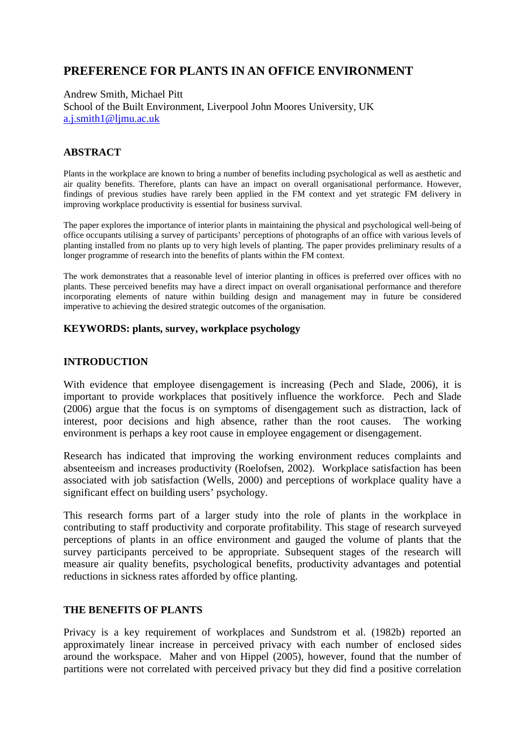# **PREFERENCE FOR PLANTS IN AN OFFICE ENVIRONMENT**

Andrew Smith, Michael Pitt School of the Built Environment, Liverpool John Moores University, UK [a.j.smith1@ljmu.ac.uk](mailto:a.j.smith1@ljmu.ac.uk)

# **ABSTRACT**

Plants in the workplace are known to bring a number of benefits including psychological as well as aesthetic and air quality benefits. Therefore, plants can have an impact on overall organisational performance. However, findings of previous studies have rarely been applied in the FM context and yet strategic FM delivery in improving workplace productivity is essential for business survival.

The paper explores the importance of interior plants in maintaining the physical and psychological well-being of office occupants utilising a survey of participants' perceptions of photographs of an office with various levels of planting installed from no plants up to very high levels of planting. The paper provides preliminary results of a longer programme of research into the benefits of plants within the FM context.

The work demonstrates that a reasonable level of interior planting in offices is preferred over offices with no plants. These perceived benefits may have a direct impact on overall organisational performance and therefore incorporating elements of nature within building design and management may in future be considered imperative to achieving the desired strategic outcomes of the organisation.

#### **KEYWORDS: plants, survey, workplace psychology**

#### **INTRODUCTION**

With evidence that employee disengagement is increasing (Pech and Slade, 2006), it is important to provide workplaces that positively influence the workforce. Pech and Slade (2006) argue that the focus is on symptoms of disengagement such as distraction, lack of interest, poor decisions and high absence, rather than the root causes. The working environment is perhaps a key root cause in employee engagement or disengagement.

Research has indicated that improving the working environment reduces complaints and absenteeism and increases productivity (Roelofsen, 2002). Workplace satisfaction has been associated with job satisfaction (Wells, 2000) and perceptions of workplace quality have a significant effect on building users' psychology.

This research forms part of a larger study into the role of plants in the workplace in contributing to staff productivity and corporate profitability. This stage of research surveyed perceptions of plants in an office environment and gauged the volume of plants that the survey participants perceived to be appropriate. Subsequent stages of the research will measure air quality benefits, psychological benefits, productivity advantages and potential reductions in sickness rates afforded by office planting.

#### **THE BENEFITS OF PLANTS**

Privacy is a key requirement of workplaces and Sundstrom et al. (1982b) reported an approximately linear increase in perceived privacy with each number of enclosed sides around the workspace. Maher and von Hippel (2005), however, found that the number of partitions were not correlated with perceived privacy but they did find a positive correlation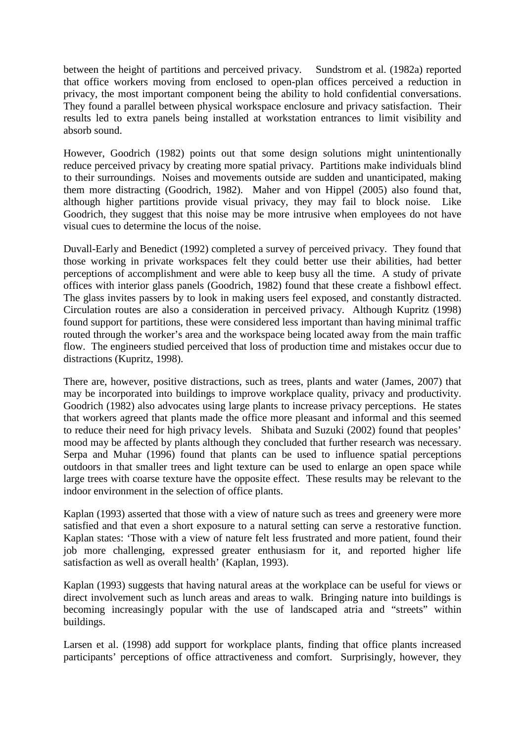between the height of partitions and perceived privacy. Sundstrom et al. (1982a) reported that office workers moving from enclosed to open-plan offices perceived a reduction in privacy, the most important component being the ability to hold confidential conversations. They found a parallel between physical workspace enclosure and privacy satisfaction. Their results led to extra panels being installed at workstation entrances to limit visibility and absorb sound.

However, Goodrich (1982) points out that some design solutions might unintentionally reduce perceived privacy by creating more spatial privacy. Partitions make individuals blind to their surroundings. Noises and movements outside are sudden and unanticipated, making them more distracting (Goodrich, 1982). Maher and von Hippel (2005) also found that, although higher partitions provide visual privacy, they may fail to block noise. Like Goodrich, they suggest that this noise may be more intrusive when employees do not have visual cues to determine the locus of the noise.

Duvall-Early and Benedict (1992) completed a survey of perceived privacy. They found that those working in private workspaces felt they could better use their abilities, had better perceptions of accomplishment and were able to keep busy all the time. A study of private offices with interior glass panels (Goodrich, 1982) found that these create a fishbowl effect. The glass invites passers by to look in making users feel exposed, and constantly distracted. Circulation routes are also a consideration in perceived privacy. Although Kupritz (1998) found support for partitions, these were considered less important than having minimal traffic routed through the worker's area and the workspace being located away from the main traffic flow. The engineers studied perceived that loss of production time and mistakes occur due to distractions (Kupritz, 1998).

There are, however, positive distractions, such as trees, plants and water (James, 2007) that may be incorporated into buildings to improve workplace quality, privacy and productivity. Goodrich (1982) also advocates using large plants to increase privacy perceptions. He states that workers agreed that plants made the office more pleasant and informal and this seemed to reduce their need for high privacy levels. Shibata and Suzuki (2002) found that peoples' mood may be affected by plants although they concluded that further research was necessary. Serpa and Muhar (1996) found that plants can be used to influence spatial perceptions outdoors in that smaller trees and light texture can be used to enlarge an open space while large trees with coarse texture have the opposite effect. These results may be relevant to the indoor environment in the selection of office plants.

Kaplan (1993) asserted that those with a view of nature such as trees and greenery were more satisfied and that even a short exposure to a natural setting can serve a restorative function. Kaplan states: 'Those with a view of nature felt less frustrated and more patient, found their job more challenging, expressed greater enthusiasm for it, and reported higher life satisfaction as well as overall health' (Kaplan, 1993).

Kaplan (1993) suggests that having natural areas at the workplace can be useful for views or direct involvement such as lunch areas and areas to walk. Bringing nature into buildings is becoming increasingly popular with the use of landscaped atria and "streets" within buildings.

Larsen et al. (1998) add support for workplace plants, finding that office plants increased participants' perceptions of office attractiveness and comfort. Surprisingly, however, they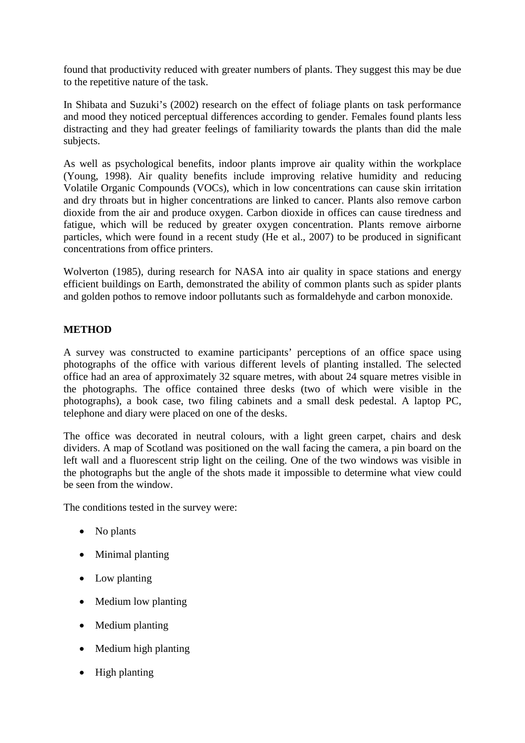found that productivity reduced with greater numbers of plants. They suggest this may be due to the repetitive nature of the task.

In Shibata and Suzuki's (2002) research on the effect of foliage plants on task performance and mood they noticed perceptual differences according to gender. Females found plants less distracting and they had greater feelings of familiarity towards the plants than did the male subjects.

As well as psychological benefits, indoor plants improve air quality within the workplace (Young, 1998). Air quality benefits include improving relative humidity and reducing Volatile Organic Compounds (VOCs), which in low concentrations can cause skin irritation and dry throats but in higher concentrations are linked to cancer. Plants also remove carbon dioxide from the air and produce oxygen. Carbon dioxide in offices can cause tiredness and fatigue, which will be reduced by greater oxygen concentration. Plants remove airborne particles, which were found in a recent study (He et al., 2007) to be produced in significant concentrations from office printers.

Wolverton (1985), during research for NASA into air quality in space stations and energy efficient buildings on Earth, demonstrated the ability of common plants such as spider plants and golden pothos to remove indoor pollutants such as formaldehyde and carbon monoxide.

# **METHOD**

A survey was constructed to examine participants' perceptions of an office space using photographs of the office with various different levels of planting installed. The selected office had an area of approximately 32 square metres, with about 24 square metres visible in the photographs. The office contained three desks (two of which were visible in the photographs), a book case, two filing cabinets and a small desk pedestal. A laptop PC, telephone and diary were placed on one of the desks.

The office was decorated in neutral colours, with a light green carpet, chairs and desk dividers. A map of Scotland was positioned on the wall facing the camera, a pin board on the left wall and a fluorescent strip light on the ceiling. One of the two windows was visible in the photographs but the angle of the shots made it impossible to determine what view could be seen from the window.

The conditions tested in the survey were:

- No plants
- Minimal planting
- Low planting
- Medium low planting
- Medium planting
- Medium high planting
- High planting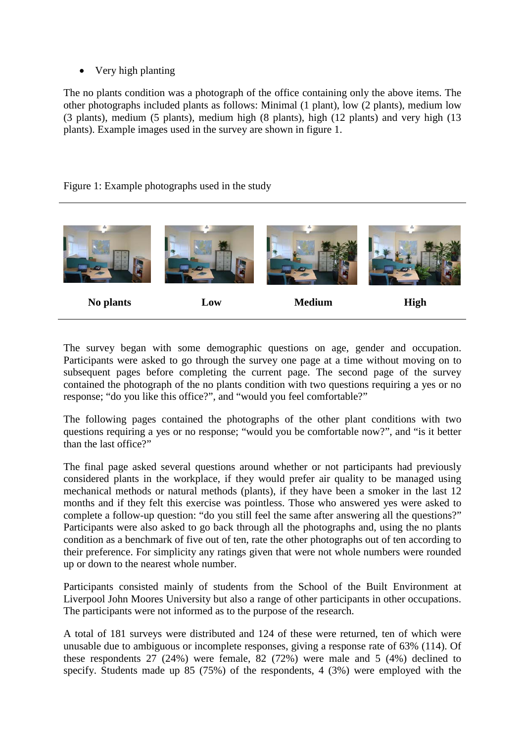• Very high planting

The no plants condition was a photograph of the office containing only the above items. The other photographs included plants as follows: Minimal (1 plant), low (2 plants), medium low (3 plants), medium (5 plants), medium high (8 plants), high (12 plants) and very high (13 plants). Example images used in the survey are shown in figure 1.

# Figure 1: Example photographs used in the study



The survey began with some demographic questions on age, gender and occupation. Participants were asked to go through the survey one page at a time without moving on to subsequent pages before completing the current page. The second page of the survey contained the photograph of the no plants condition with two questions requiring a yes or no response; "do you like this office?", and "would you feel comfortable?"

The following pages contained the photographs of the other plant conditions with two questions requiring a yes or no response; "would you be comfortable now?", and "is it better than the last office?"

The final page asked several questions around whether or not participants had previously considered plants in the workplace, if they would prefer air quality to be managed using mechanical methods or natural methods (plants), if they have been a smoker in the last 12 months and if they felt this exercise was pointless. Those who answered yes were asked to complete a follow-up question: "do you still feel the same after answering all the questions?" Participants were also asked to go back through all the photographs and, using the no plants condition as a benchmark of five out of ten, rate the other photographs out of ten according to their preference. For simplicity any ratings given that were not whole numbers were rounded up or down to the nearest whole number.

Participants consisted mainly of students from the School of the Built Environment at Liverpool John Moores University but also a range of other participants in other occupations. The participants were not informed as to the purpose of the research.

A total of 181 surveys were distributed and 124 of these were returned, ten of which were unusable due to ambiguous or incomplete responses, giving a response rate of 63% (114). Of these respondents 27 (24%) were female, 82 (72%) were male and 5 (4%) declined to specify. Students made up 85 (75%) of the respondents, 4 (3%) were employed with the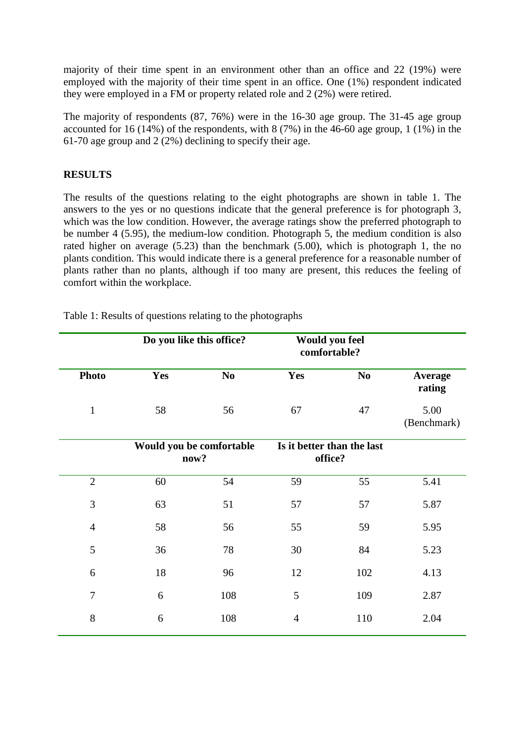majority of their time spent in an environment other than an office and 22 (19%) were employed with the majority of their time spent in an office. One (1%) respondent indicated they were employed in a FM or property related role and 2 (2%) were retired.

The majority of respondents (87, 76%) were in the 16-30 age group. The 31-45 age group accounted for 16 (14%) of the respondents, with 8 (7%) in the 46-60 age group, 1 (1%) in the 61-70 age group and 2 (2%) declining to specify their age.

## **RESULTS**

The results of the questions relating to the eight photographs are shown in table 1. The answers to the yes or no questions indicate that the general preference is for photograph 3, which was the low condition. However, the average ratings show the preferred photograph to be number 4 (5.95), the medium-low condition. Photograph 5, the medium condition is also rated higher on average (5.23) than the benchmark (5.00), which is photograph 1, the no plants condition. This would indicate there is a general preference for a reasonable number of plants rather than no plants, although if too many are present, this reduces the feeling of comfort within the workplace.

|                | Do you like this office?         |                | <b>Would you feel</b><br>comfortable? |                |                     |  |
|----------------|----------------------------------|----------------|---------------------------------------|----------------|---------------------|--|
| <b>Photo</b>   | Yes                              | N <sub>0</sub> | Yes                                   | N <sub>0</sub> | Average<br>rating   |  |
| $\mathbf{1}$   | 58                               | 56             | 67                                    | 47             | 5.00<br>(Benchmark) |  |
|                | Would you be comfortable<br>now? |                | Is it better than the last<br>office? |                |                     |  |
| $\overline{2}$ | 60                               | 54             | 59                                    | 55             | 5.41                |  |
| 3              | 63                               | 51             | 57                                    | 57             | 5.87                |  |
| $\overline{4}$ | 58                               | 56             | 55                                    | 59             | 5.95                |  |
| 5              | 36                               | 78             | 30                                    | 84             | 5.23                |  |
| 6              | 18                               | 96             | 12                                    | 102            | 4.13                |  |
| $\overline{7}$ | 6                                | 108            | 5                                     | 109            | 2.87                |  |
| 8              | 6                                | 108            | $\overline{4}$                        | 110            | 2.04                |  |

Table 1: Results of questions relating to the photographs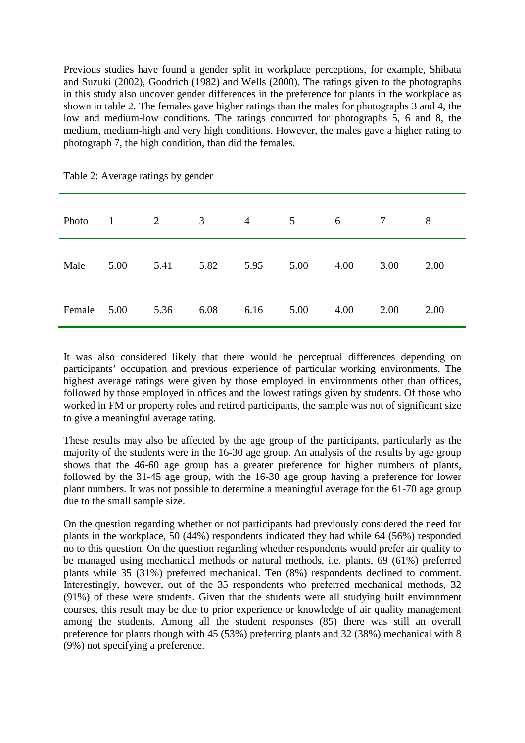Previous studies have found a gender split in workplace perceptions, for example, Shibata and Suzuki (2002), Goodrich (1982) and Wells (2000). The ratings given to the photographs in this study also uncover gender differences in the preference for plants in the workplace as shown in table 2. The females gave higher ratings than the males for photographs 3 and 4, the low and medium-low conditions. The ratings concurred for photographs 5, 6 and 8, the medium, medium-high and very high conditions. However, the males gave a higher rating to photograph 7, the high condition, than did the females.

| Photo  | $\mathbf{1}$ | $\overline{2}$ | 3    | $\overline{4}$ | 5 <sup>5</sup> | 6    | $\tau$ | 8    |
|--------|--------------|----------------|------|----------------|----------------|------|--------|------|
| Male   | 5.00         | 5.41           | 5.82 | 5.95           | 5.00           | 4.00 | 3.00   | 2.00 |
| Female | 5.00         | 5.36           | 6.08 | 6.16           | 5.00           | 4.00 | 2.00   | 2.00 |

Table 2: Average ratings by gender

It was also considered likely that there would be perceptual differences depending on participants' occupation and previous experience of particular working environments. The highest average ratings were given by those employed in environments other than offices, followed by those employed in offices and the lowest ratings given by students. Of those who worked in FM or property roles and retired participants, the sample was not of significant size to give a meaningful average rating.

These results may also be affected by the age group of the participants, particularly as the majority of the students were in the 16-30 age group. An analysis of the results by age group shows that the 46-60 age group has a greater preference for higher numbers of plants, followed by the 31-45 age group, with the 16-30 age group having a preference for lower plant numbers. It was not possible to determine a meaningful average for the 61-70 age group due to the small sample size.

On the question regarding whether or not participants had previously considered the need for plants in the workplace, 50 (44%) respondents indicated they had while 64 (56%) responded no to this question. On the question regarding whether respondents would prefer air quality to be managed using mechanical methods or natural methods, i.e. plants, 69 (61%) preferred plants while 35 (31%) preferred mechanical. Ten (8%) respondents declined to comment. Interestingly, however, out of the 35 respondents who preferred mechanical methods, 32 (91%) of these were students. Given that the students were all studying built environment courses, this result may be due to prior experience or knowledge of air quality management among the students. Among all the student responses (85) there was still an overall preference for plants though with 45 (53%) preferring plants and 32 (38%) mechanical with 8 (9%) not specifying a preference.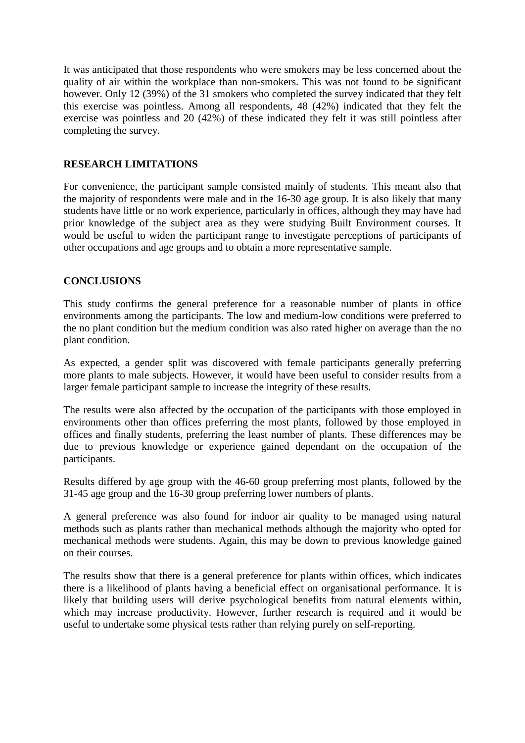It was anticipated that those respondents who were smokers may be less concerned about the quality of air within the workplace than non-smokers. This was not found to be significant however. Only 12 (39%) of the 31 smokers who completed the survey indicated that they felt this exercise was pointless. Among all respondents, 48 (42%) indicated that they felt the exercise was pointless and 20 (42%) of these indicated they felt it was still pointless after completing the survey.

## **RESEARCH LIMITATIONS**

For convenience, the participant sample consisted mainly of students. This meant also that the majority of respondents were male and in the 16-30 age group. It is also likely that many students have little or no work experience, particularly in offices, although they may have had prior knowledge of the subject area as they were studying Built Environment courses. It would be useful to widen the participant range to investigate perceptions of participants of other occupations and age groups and to obtain a more representative sample.

### **CONCLUSIONS**

This study confirms the general preference for a reasonable number of plants in office environments among the participants. The low and medium-low conditions were preferred to the no plant condition but the medium condition was also rated higher on average than the no plant condition.

As expected, a gender split was discovered with female participants generally preferring more plants to male subjects. However, it would have been useful to consider results from a larger female participant sample to increase the integrity of these results.

The results were also affected by the occupation of the participants with those employed in environments other than offices preferring the most plants, followed by those employed in offices and finally students, preferring the least number of plants. These differences may be due to previous knowledge or experience gained dependant on the occupation of the participants.

Results differed by age group with the 46-60 group preferring most plants, followed by the 31-45 age group and the 16-30 group preferring lower numbers of plants.

A general preference was also found for indoor air quality to be managed using natural methods such as plants rather than mechanical methods although the majority who opted for mechanical methods were students. Again, this may be down to previous knowledge gained on their courses.

The results show that there is a general preference for plants within offices, which indicates there is a likelihood of plants having a beneficial effect on organisational performance. It is likely that building users will derive psychological benefits from natural elements within, which may increase productivity. However, further research is required and it would be useful to undertake some physical tests rather than relying purely on self-reporting.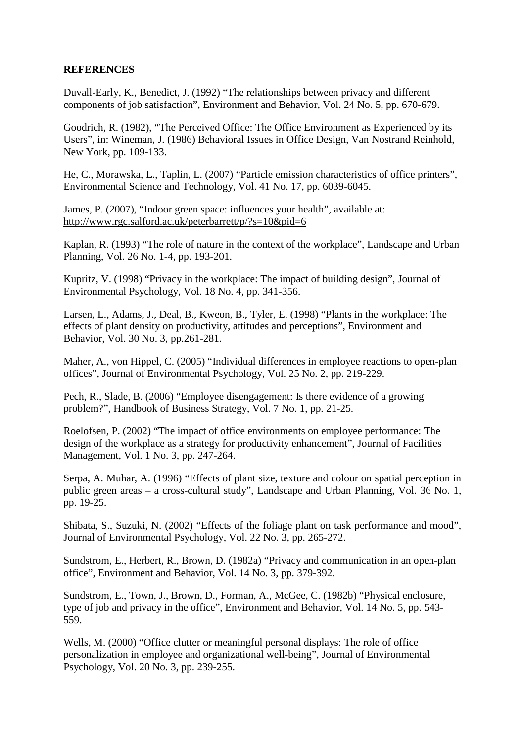## **REFERENCES**

Duvall-Early, K., Benedict, J. (1992) "The relationships between privacy and different components of job satisfaction", Environment and Behavior, Vol. 24 No. 5, pp. 670-679.

Goodrich, R. (1982), "The Perceived Office: The Office Environment as Experienced by its Users", in: Wineman, J. (1986) Behavioral Issues in Office Design, Van Nostrand Reinhold, New York, pp. 109-133.

He, C., Morawska, L., Taplin, L. (2007) "Particle emission characteristics of office printers", Environmental Science and Technology, Vol. 41 No. 17, pp. 6039-6045.

James, P. (2007), "Indoor green space: influences your health", available at: <http://www.rgc.salford.ac.uk/peterbarrett/p/?s=10&pid=6>

Kaplan, R. (1993) "The role of nature in the context of the workplace", Landscape and Urban Planning, Vol. 26 No. 1-4, pp. 193-201.

Kupritz, V. (1998) "Privacy in the workplace: The impact of building design", Journal of Environmental Psychology, Vol. 18 No. 4, pp. 341-356.

Larsen, L., Adams, J., Deal, B., Kweon, B., Tyler, E. (1998) "Plants in the workplace: The effects of plant density on productivity, attitudes and perceptions", Environment and Behavior, Vol. 30 No. 3, pp.261-281.

Maher, A., von Hippel, C. (2005) "Individual differences in employee reactions to open-plan offices", Journal of Environmental Psychology, Vol. 25 No. 2, pp. 219-229.

Pech, R., Slade, B. (2006) "Employee disengagement: Is there evidence of a growing problem?", Handbook of Business Strategy, Vol. 7 No. 1, pp. 21-25.

Roelofsen, P. (2002) "The impact of office environments on employee performance: The design of the workplace as a strategy for productivity enhancement", Journal of Facilities Management, Vol. 1 No. 3, pp. 247-264.

Serpa, A. Muhar, A. (1996) "Effects of plant size, texture and colour on spatial perception in public green areas – a cross-cultural study", Landscape and Urban Planning, Vol. 36 No. 1, pp. 19-25.

Shibata, S., Suzuki, N. (2002) "Effects of the foliage plant on task performance and mood", Journal of Environmental Psychology, Vol. 22 No. 3, pp. 265-272.

Sundstrom, E., Herbert, R., Brown, D. (1982a) "Privacy and communication in an open-plan office", Environment and Behavior, Vol. 14 No. 3, pp. 379-392.

Sundstrom, E., Town, J., Brown, D., Forman, A., McGee, C. (1982b) "Physical enclosure, type of job and privacy in the office", Environment and Behavior, Vol. 14 No. 5, pp. 543- 559.

Wells, M. (2000) "Office clutter or meaningful personal displays: The role of office personalization in employee and organizational well-being", Journal of Environmental Psychology, Vol. 20 No. 3, pp. 239-255.